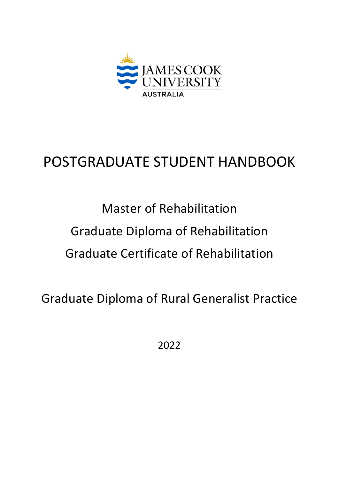

# POSTGRADUATE STUDENT HANDBOOK

Master of Rehabilitation Graduate Diploma of Rehabilitation Graduate Certificate of Rehabilitation

Graduate Diploma of Rural Generalist Practice

2022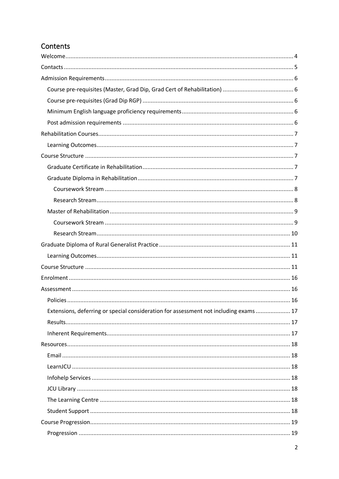# Contents

| Extensions, deferring or special consideration for assessment not including exams  17 |
|---------------------------------------------------------------------------------------|
|                                                                                       |
|                                                                                       |
|                                                                                       |
|                                                                                       |
|                                                                                       |
|                                                                                       |
|                                                                                       |
|                                                                                       |
|                                                                                       |
|                                                                                       |
|                                                                                       |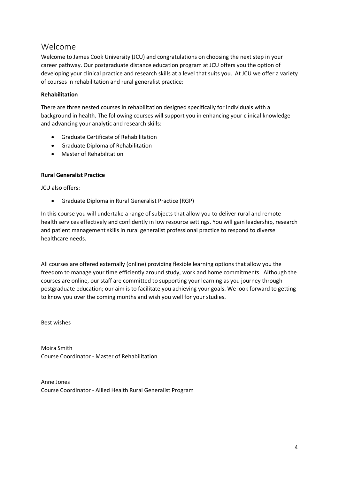# <span id="page-3-0"></span>Welcome

Welcome to James Cook University (JCU) and congratulations on choosing the next step in your career pathway. Our postgraduate distance education program at JCU offers you the option of developing your clinical practice and research skills at a level that suits you. At JCU we offer a variety of courses in rehabilitation and rural generalist practice:

### **Rehabilitation**

There are three nested courses in rehabilitation designed specifically for individuals with a background in health. The following courses will support you in enhancing your clinical knowledge and advancing your analytic and research skills:

- Graduate Certificate of Rehabilitation
- Graduate Diploma of Rehabilitation
- Master of Rehabilitation

#### **Rural Generalist Practice**

JCU also offers:

• Graduate Diploma in Rural Generalist Practice (RGP)

In this course you will undertake a range of subjects that allow you to deliver rural and remote health services effectively and confidently in low resource settings. You will gain leadership, research and patient management skills in rural generalist professional practice to respond to diverse healthcare needs.

All courses are offered externally (online) providing flexible learning options that allow you the freedom to manage your time efficiently around study, work and home commitments. Although the courses are online, our staff are committed to supporting your learning as you journey through postgraduate education; our aim is to facilitate you achieving your goals. We look forward to getting to know you over the coming months and wish you well for your studies.

Best wishes

Moira Smith Course Coordinator - Master of Rehabilitation

Anne Jones Course Coordinator - Allied Health Rural Generalist Program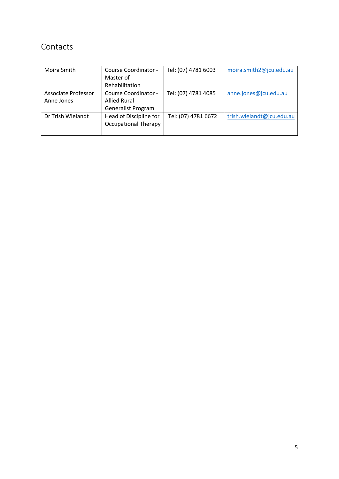# <span id="page-4-0"></span>Contacts

| Moira Smith                       | Course Coordinator -<br>Master of<br>Rehabilitation               | Tel: (07) 4781 6003 | moira.smith2@jcu.edu.au   |
|-----------------------------------|-------------------------------------------------------------------|---------------------|---------------------------|
| Associate Professor<br>Anne Jones | Course Coordinator -<br><b>Allied Rural</b><br>Generalist Program | Tel: (07) 4781 4085 | anne.jones@jcu.edu.au     |
| Dr Trish Wielandt                 | Head of Discipline for<br><b>Occupational Therapy</b>             | Tel: (07) 4781 6672 | trish.wielandt@jcu.edu.au |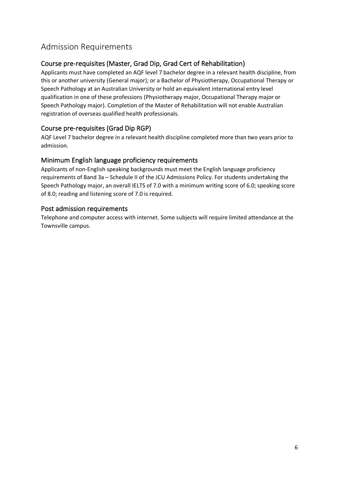# <span id="page-5-0"></span>Admission Requirements

# <span id="page-5-1"></span>Course pre-requisites (Master, Grad Dip, Grad Cert of Rehabilitation)

Applicants must have completed an AQF level 7 bachelor degree in a relevant health discipline, from this or another university (General major); or a Bachelor of Physiotherapy, Occupational Therapy or Speech Pathology at an Australian University or hold an equivalent international entry level qualification in one of these professions (Physiotherapy major, Occupational Therapy major or Speech Pathology major). Completion of the Master of Rehabilitation will not enable Australian registration of overseas qualified health professionals.

# <span id="page-5-2"></span>Course pre-requisites (Grad Dip RGP)

AQF Level 7 bachelor degree in a relevant health discipline completed more than two years prior to admission.

### <span id="page-5-3"></span>Minimum English language proficiency requirements

Applicants of non-English speaking backgrounds must meet the English language proficiency requirements of Band 3a – Schedule II of the JCU Admissions Policy. For students undertaking the Speech Pathology major, an overall IELTS of 7.0 with a minimum writing score of 6.0; speaking score of 8.0; reading and listening score of 7.0 is required.

### <span id="page-5-4"></span>Post admission requirements

Telephone and computer access with internet. Some subjects will require limited attendance at the Townsville campus.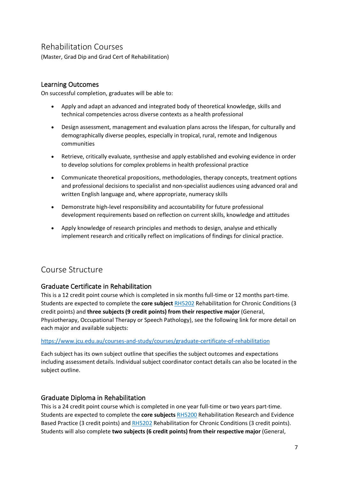# <span id="page-6-0"></span>Rehabilitation Courses

(Master, Grad Dip and Grad Cert of Rehabilitation)

# <span id="page-6-1"></span>Learning Outcomes

On successful completion, graduates will be able to:

- Apply and adapt an advanced and integrated body of theoretical knowledge, skills and technical competencies across diverse contexts as a health professional
- Design assessment, management and evaluation plans across the lifespan, for culturally and demographically diverse peoples, especially in tropical, rural, remote and Indigenous communities
- Retrieve, critically evaluate, synthesise and apply established and evolving evidence in order to develop solutions for complex problems in health professional practice
- Communicate theoretical propositions, methodologies, therapy concepts, treatment options and professional decisions to specialist and non-specialist audiences using advanced oral and written English language and, where appropriate, numeracy skills
- Demonstrate high-level responsibility and accountability for future professional development requirements based on reflection on current skills, knowledge and attitudes
- Apply knowledge of research principles and methods to design, analyse and ethically implement research and critically reflect on implications of findings for clinical practice.

# <span id="page-6-2"></span>Course Structure

# <span id="page-6-3"></span>Graduate Certificate in Rehabilitation

This is a 12 credit point course which is completed in six months full-time or 12 months part-time. Students are expected to complete the **core subject** [RH5202](http://www.jcu.edu.au/app/studyfinder/?subject=RH5202) Rehabilitation for Chronic Conditions (3 credit points) and **three subjects (9 credit points) from their respective major** (General, Physiotherapy, Occupational Therapy or Speech Pathology), see the following link for more detail on each major and available subjects:

#### <https://www.jcu.edu.au/courses-and-study/courses/graduate-certificate-of-rehabilitation>

Each subject has its own subject outline that specifies the subject outcomes and expectations including assessment details. Individual subject coordinator contact details can also be located in the subject outline.

# <span id="page-6-4"></span>Graduate Diploma in Rehabilitation

This is a 24 credit point course which is completed in one year full-time or two years part-time. Students are expected to complete the **core subjects** [RH5200](http://www.jcu.edu.au/app/studyfinder/?subject=RH5200) Rehabilitation Research and Evidence Based Practice (3 credit points) and [RH5202](http://www.jcu.edu.au/app/studyfinder/?subject=RH5202) Rehabilitation for Chronic Conditions (3 credit points). Students will also complete **two subjects (6 credit points) from their respective major** (General,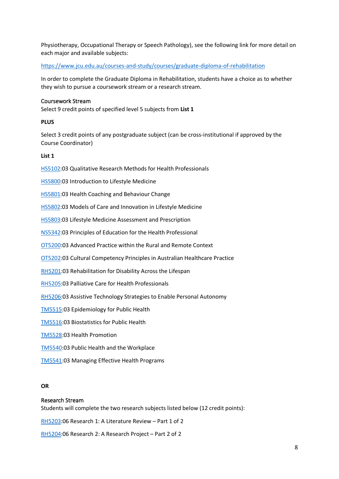Physiotherapy, Occupational Therapy or Speech Pathology), see the following link for more detail on each major and available subjects:

<https://www.jcu.edu.au/courses-and-study/courses/graduate-diploma-of-rehabilitation>

In order to complete the Graduate Diploma in Rehabilitation, students have a choice as to whether they wish to pursue a coursework stream or a research stream.

#### <span id="page-7-0"></span>Coursework Stream

Select 9 credit points of specified level 5 subjects from **List 1**

#### **PLUS**

Select 3 credit points of any postgraduate subject (can be cross-institutional if approved by the Course Coordinator)

#### **List 1**

[HS5102:](http://www.jcu.edu.au/app/studyfinder/?subject=HS5102)03 Qualitative Research Methods for Health Professionals

[HS5800:](http://www.jcu.edu.au/app/studyfinder/?subject=HS5800)03 Introduction to Lifestyle Medicine

[HS5801:](http://www.jcu.edu.au/app/studyfinder/?subject=HS5801)03 Health Coaching and Behaviour Change

[HS5802:](http://www.jcu.edu.au/app/studyfinder/?subject=HS5802)03 Models of Care and Innovation in Lifestyle Medicine

[HS5803:](http://www.jcu.edu.au/app/studyfinder/?subject=HS5803)03 Lifestyle Medicine Assessment and Prescription

[NS5342:](https://secure.jcu.edu.au/app/studyfinder/?subject=NS5342)03 Principles of Education for the Health Professional

[OT5200:](http://www.jcu.edu.au/app/studyfinder/?subject=OT5200)03 Advanced Practice within the Rural and Remote Context

[OT5202:](http://www.jcu.edu.au/app/studyfinder/?subject=OT5202)03 Cultural Competency Principles in Australian Healthcare Practice

[RH5201:](http://www.jcu.edu.au/app/studyfinder/?subject=RH5201)03 Rehabilitation for Disability Across the Lifespan

[RH5205:](http://www.jcu.edu.au/app/studyfinder/?subject=RH5205)03 Palliative Care for Health Professionals

[RH5206:](http://www.jcu.edu.au/app/studyfinder/?subject=RH5206)03 Assistive Technology Strategies to Enable Personal Autonomy

[TM5515:](http://www.jcu.edu.au/app/studyfinder/?subject=TM5515)03 Epidemiology for Public Health

[TM5516:](http://www.jcu.edu.au/app/studyfinder/?subject=TM5516)03 Biostatistics for Public Health

[TM5528:](http://www.jcu.edu.au/app/studyfinder/?subject=TM5528)03 Health Promotion

[TM5540:](http://www.jcu.edu.au/app/studyfinder/?subject=TM5540)03 Public Health and the Workplace

[TM5541:](https://secure.jcu.edu.au/app/studyfinder/?subject=TM5541)03 Managing Effective Health Programs

#### **OR**

#### <span id="page-7-1"></span>Research Stream

Students will complete the two research subjects listed below (12 credit points):

[RH5203:](http://www.jcu.edu.au/app/studyfinder/?subject=RH5203)06 Research 1: A Literature Review – Part 1 of 2

[RH5204:](http://www.jcu.edu.au/app/studyfinder/?subject=RH5204)06 Research 2: A Research Project – Part 2 of 2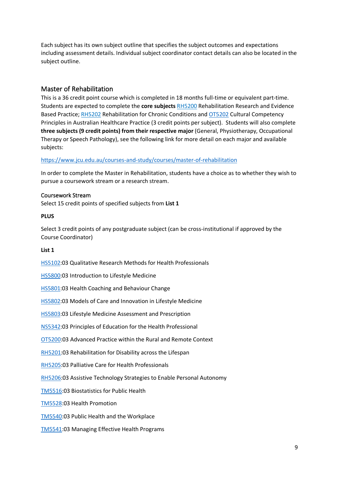Each subject has its own subject outline that specifies the subject outcomes and expectations including assessment details. Individual subject coordinator contact details can also be located in the subject outline.

### <span id="page-8-0"></span>Master of Rehabilitation

This is a 36 credit point course which is completed in 18 months full-time or equivalent part-time. Students are expected to complete the **core subjects** [RH5200](http://www.jcu.edu.au/app/studyfinder/?subject=RH5200) Rehabilitation Research and Evidence Based Practice; [RH5202](http://www.jcu.edu.au/app/studyfinder/?subject=RH5202) Rehabilitation for Chronic Conditions and [OT5202](https://secure.jcu.edu.au/app/studyfinder/?subject=ot5202) Cultural Competency Principles in Australian Healthcare Practice (3 credit points per subject). Students will also complete **three subjects (9 credit points) from their respective major** (General, Physiotherapy, Occupational Therapy or Speech Pathology), see the following link for more detail on each major and available subjects:

#### <https://www.jcu.edu.au/courses-and-study/courses/master-of-rehabilitation>

In order to complete the Master in Rehabilitation, students have a choice as to whether they wish to pursue a coursework stream or a research stream.

#### <span id="page-8-1"></span>Coursework Stream

Select 15 credit points of specified subjects from **List 1**

#### **PLUS**

Select 3 credit points of any postgraduate subject (can be cross-institutional if approved by the Course Coordinator)

#### **List 1**

[HS5102:](http://www.jcu.edu.au/app/studyfinder/?subject=HS5102)03 Qualitative Research Methods for Health Professionals

[HS5800:](http://www.jcu.edu.au/app/studyfinder/?subject=HS5800)03 Introduction to Lifestyle Medicine

[HS5801:](http://www.jcu.edu.au/app/studyfinder/?subject=HS5801)03 Health Coaching and Behaviour Change

[HS5802:](http://www.jcu.edu.au/app/studyfinder/?subject=HS5802)03 Models of Care and Innovation in Lifestyle Medicine

[HS5803:](http://www.jcu.edu.au/app/studyfinder/?subject=HS5803)03 Lifestyle Medicine Assessment and Prescription

[NS5342:](https://secure.jcu.edu.au/app/studyfinder/?subject=NS5342)03 Principles of Education for the Health Professional

[OT5200:](http://www.jcu.edu.au/app/studyfinder/?subject=OT5200)03 Advanced Practice within the Rural and Remote Context

[RH5201:](http://www.jcu.edu.au/app/studyfinder/?subject=RH5201)03 Rehabilitation for Disability across the Lifespan

[RH5205:](http://www.jcu.edu.au/app/studyfinder/?subject=RH5205)03 Palliative Care for Health Professionals

[RH5206:](http://www.jcu.edu.au/app/studyfinder/?subject=RH5206)03 Assistive Technology Strategies to Enable Personal Autonomy

[TM5516:](https://secure.jcu.edu.au/app/studyfinder/?subject=TM5516)03 Biostatistics for Public Health

[TM5528:](http://www.jcu.edu.au/app/studyfinder/?subject=TM5528)03 Health Promotion

[TM5540:](http://www.jcu.edu.au/app/studyfinder/?subject=TM5540)03 Public Health and the Workplace

[TM5541:](https://secure.jcu.edu.au/app/studyfinder/?subject=TM5541)03 Managing Effective Health Programs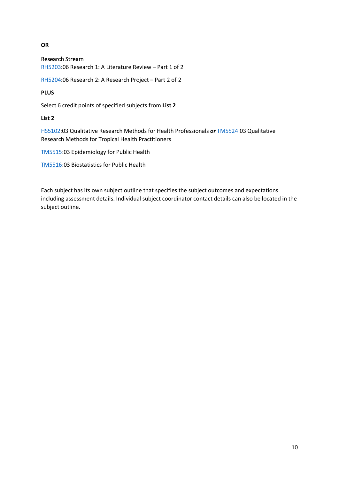#### **OR**

#### <span id="page-9-0"></span>Research Stream

[RH5203:](http://www.jcu.edu.au/app/studyfinder/?subject=RH5203)06 Research 1: A Literature Review – Part 1 of 2

[RH5204:](http://www.jcu.edu.au/app/studyfinder/?subject=RH5204)06 Research 2: A Research Project – Part 2 of 2

#### **PLUS**

Select 6 credit points of specified subjects from **List 2**

#### **List 2**

[HS5102:](http://www.jcu.edu.au/app/studyfinder/?subject=HS5102)03 Qualitative Research Methods for Health Professionals *or* [TM5524:](http://www.jcu.edu.au/app/studyfinder/?subject=TM5524)03 Qualitative Research Methods for Tropical Health Practitioners

[TM5515:](http://www.jcu.edu.au/app/studyfinder/?subject=TM5515)03 Epidemiology for Public Health

[TM5516:](http://www.jcu.edu.au/app/studyfinder/?subject=TM5516)03 Biostatistics for Public Health

Each subject has its own subject outline that specifies the subject outcomes and expectations including assessment details. Individual subject coordinator contact details can also be located in the subject outline.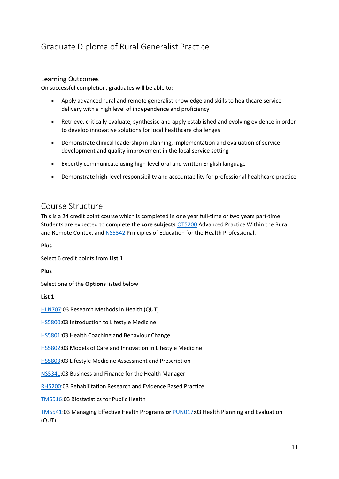# <span id="page-10-0"></span>Graduate Diploma of Rural Generalist Practice

### <span id="page-10-1"></span>Learning Outcomes

On successful completion, graduates will be able to:

- Apply advanced rural and remote generalist knowledge and skills to healthcare service delivery with a high level of independence and proficiency
- Retrieve, critically evaluate, synthesise and apply established and evolving evidence in order to develop innovative solutions for local healthcare challenges
- Demonstrate clinical leadership in planning, implementation and evaluation of service development and quality improvement in the local service setting
- Expertly communicate using high-level oral and written English language
- Demonstrate high-level responsibility and accountability for professional healthcare practice

# <span id="page-10-2"></span>Course Structure

This is a 24 credit point course which is completed in one year full-time or two years part-time. Students are expected to complete the **core subjects** [OT5200](http://www.jcu.edu.au/app/studyfinder/?subject=OT5200) Advanced Practice Within the Rural and Remote Context and [NS5342](http://www.jcu.edu.au/app/studyfinder/?subject=NS5342) Principles of Education for the Health Professional.

#### **Plus**

Select 6 credit points from **List 1**

**Plus**

Select one of the **Options** listed below

**List 1**

[HLN707:](https://www.qut.edu.au/study/unit?unitCode=HLN707)03 Research Methods in Health (QUT)

[HS5800:](http://www.jcu.edu.au/app/studyfinder/?subject=HS5800)03 Introduction to Lifestyle Medicine

[HS5801:](http://www.jcu.edu.au/app/studyfinder/?subject=HS5801)03 Health Coaching and Behaviour Change

[HS5802:](http://www.jcu.edu.au/app/studyfinder/?subject=HS5802)03 Models of Care and Innovation in Lifestyle Medicine

[HS5803:](http://www.jcu.edu.au/app/studyfinder/?subject=HS5803)03 Lifestyle Medicine Assessment and Prescription

[NS5341:](http://www.jcu.edu.au/app/studyfinder/?subject=NS5341)03 Business and Finance for the Health Manager

[RH5200:](http://www.jcu.edu.au/app/studyfinder/?subject=RH5200)03 Rehabilitation Research and Evidence Based Practice

[TM5516:](http://www.jcu.edu.au/app/studyfinder/?subject=TM5516)03 Biostatistics for Public Health

[TM5541:](http://www.jcu.edu.au/app/studyfinder/?subject=TM5541)03 Managing Effective Health Programs **or** [PUN017:](https://www.qut.edu.au/study/unit?unitCode=PUN017)03 Health Planning and Evaluation (QUT)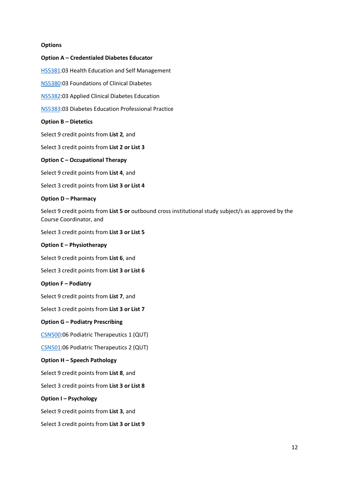#### **Options**

# **Option A – Credentialed Diabetes Educator** [HS5381:](http://www.jcu.edu.au/app/studyfinder/?subject=HS5381)03 Health Education and Self Management [NS5380:](http://www.jcu.edu.au/app/studyfinder/?subject=NS5380)03 Foundations of Clinical Diabetes [NS5382:](http://www.jcu.edu.au/app/studyfinder/?subject=NS5382)03 Applied Clinical Diabetes Education [NS5383:](http://www.jcu.edu.au/app/studyfinder/?subject=NS5383)03 Diabetes Education Professional Practice **Option B – Dietetics** Select 9 credit points from **List 2***,* and Select 3 credit points from **List 2 or List 3 Option C – Occupational Therapy** Select 9 credit points from **List 4**, and Select 3 credit points from **List 3 or List 4 Option D – Pharmacy** Select 9 credit points from **List 5 or** outbound cross institutional study subject/s as approved by the Course Coordinator, and Select 3 credit points from **List 3 or List 5 Option E – Physiotherapy** Select 9 credit points from **List 6**, and Select 3 credit points from **List 3 or List 6 Option F – Podiatry** Select 9 credit points from **List 7**, and Select 3 credit points from **List 3 or List 7 Option G – Podiatry Prescribing** [CSN500:](https://www.qut.edu.au/study/unit?unitCode=CSN500)06 Podiatric Therapeutics 1 (QUT) [CSN501:](https://www.qut.edu.au/study/unit?unitCode=CSN501)06 Podiatric Therapeutics 2 (QUT) **Option H – Speech Pathology** Select 9 credit points from **List 8**, and Select 3 credit points from **List 3 or List 8 Option I – Psychology** Select 9 credit points from **List 3**, and Select 3 credit points from **List 3 or List 9**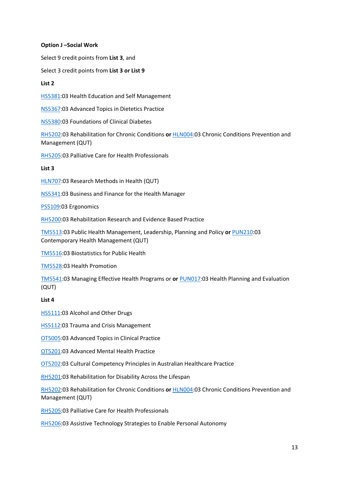#### **Option J –Social Work**

Select 9 credit points from **List 3**, and

Select 3 credit points from **List 3 or List 9**

#### **List 2**

[HS5381:](http://www.jcu.edu.au/app/studyfinder/?subject=HS5381)03 Health Education and Self Management

[NS5367:](http://www.jcu.edu.au/app/studyfinder/?subject=NS5367)03 Advanced Topics in Dietetics Practice

[NS5380:](http://www.jcu.edu.au/app/studyfinder/?subject=NS5380)03 Foundations of Clinical Diabetes

[RH5202:](http://www.jcu.edu.au/app/studyfinder/?subject=RH5202)03 Rehabilitation for Chronic Conditions **or** [HLN004:](https://www.qut.edu.au/study/unit?unitCode=HLN004)03 Chronic Conditions Prevention and Management (QUT)

[RH5205:](http://www.jcu.edu.au/app/studyfinder/?subject=RH5205)03 Palliative Care for Health Professionals

#### **List 3**

[HLN707:](https://www.qut.edu.au/study/unit?unitCode=HLN707)03 Research Methods in Health (QUT)

[NS5341:](http://www.jcu.edu.au/app/studyfinder/?subject=NS5341)03 Business and Finance for the Health Manager

[PS5109:](http://www.jcu.edu.au/app/studyfinder/?subject=PS5109)03 Ergonomics

[RH5200:](http://www.jcu.edu.au/app/studyfinder/?subject=RH5200)03 Rehabilitation Research and Evidence Based Practice

[TM5513:](http://www.jcu.edu.au/app/studyfinder/?subject=TM5513)03 Public Health Management, Leadership, Planning and Policy **or** [PUN210:](https://www.qut.edu.au/study/unit?unitCode=PUN210)03 Contemporary Health Management (QUT)

[TM5516:](http://www.jcu.edu.au/app/studyfinder/?subject=TM5516)03 Biostatistics for Public Health

[TM5528:](http://www.jcu.edu.au/app/studyfinder/?subject=TM5528)03 Health Promotion

[TM5541:](http://www.jcu.edu.au/app/studyfinder/?subject=TM5541)03 Managing Effective Health Programs or **or** [PUN017:](https://www.qut.edu.au/study/unit?unitCode=PUN017)03 Health Planning and Evaluation (QUT)

#### **List 4**

[HS5111:](https://secure.jcu.edu.au/app/studyfinder/?subject=HS5111)03 Alcohol and Other Drugs

[HS5112:](https://secure.jcu.edu.au/app/studyfinder/?subject=HS5112)03 Trauma and Crisis Management

[OT5005:](http://www.jcu.edu.au/app/studyfinder/?subject=OT5005)03 Advanced Topics in Clinical Practice

[OT5201:](http://www.jcu.edu.au/app/studyfinder/?subject=OT5201)03 Advanced Mental Health Practice

[OT5202:](http://www.jcu.edu.au/app/studyfinder/?subject=OT5202)03 Cultural Competency Principles in Australian Healthcare Practice

[RH5201:](http://www.jcu.edu.au/app/studyfinder/?subject=RH5201)03 Rehabilitation for Disability Across the Lifespan

[RH5202:](http://www.jcu.edu.au/app/studyfinder/?subject=RH5202)03 Rehabilitation for Chronic Conditions **or** [HLN004:](https://www.qut.edu.au/study/unit?unitCode=HLN004)03 Chronic Conditions Prevention and Management (QUT)

[RH5205:](http://www.jcu.edu.au/app/studyfinder/?subject=RH5205)03 Palliative Care for Health Professionals

[RH5206:](http://www.jcu.edu.au/app/studyfinder/?subject=RH5206)03 Assistive Technology Strategies to Enable Personal Autonomy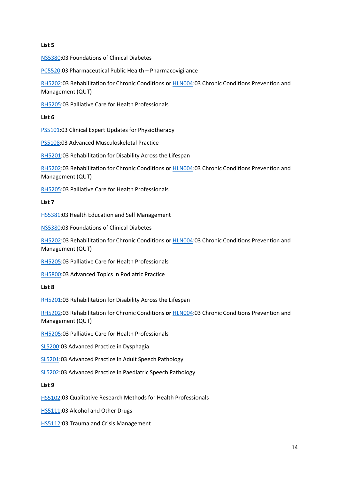#### **List 5**

[NS5380:](http://www.jcu.edu.au/app/studyfinder/?subject=NS5380)03 Foundations of Clinical Diabetes

[PC5520:](http://www.jcu.edu.au/app/studyfinder/?subject=PC5520)03 Pharmaceutical Public Health – Pharmacovigilance

[RH5202:](http://www.jcu.edu.au/app/studyfinder/?subject=RH5202)03 Rehabilitation for Chronic Conditions **or** [HLN004:](https://www.qut.edu.au/study/unit?unitCode=HLN004)03 Chronic Conditions Prevention and Management (QUT)

[RH5205:](http://www.jcu.edu.au/app/studyfinder/?subject=RH5205)03 Palliative Care for Health Professionals

#### **List 6**

[PS5101:](http://www.jcu.edu.au/app/studyfinder/?subject=PS5101)03 Clinical Expert Updates for Physiotherapy

[PS5108:](http://www.jcu.edu.au/app/studyfinder/?subject=PS5108)03 Advanced Musculoskeletal Practice

[RH5201:](http://www.jcu.edu.au/app/studyfinder/?subject=RH5201)03 Rehabilitation for Disability Across the Lifespan

[RH5202:](http://www.jcu.edu.au/app/studyfinder/?subject=RH5202)03 Rehabilitation for Chronic Conditions **or** [HLN004:](https://www.qut.edu.au/study/unit?unitCode=HLN004)03 Chronic Conditions Prevention and Management (QUT)

[RH5205:](http://www.jcu.edu.au/app/studyfinder/?subject=RH5205)03 Palliative Care for Health Professionals

#### **List 7**

[HS5381:](http://www.jcu.edu.au/app/studyfinder/?subject=HS5381)03 Health Education and Self Management

[NS5380:](http://www.jcu.edu.au/app/studyfinder/?subject=NS5380)03 Foundations of Clinical Diabetes

[RH5202:](http://www.jcu.edu.au/app/studyfinder/?subject=RH5202)03 Rehabilitation for Chronic Conditions **or** [HLN004:](https://www.qut.edu.au/study/unit?unitCode=HLN004)03 Chronic Conditions Prevention and Management (QUT)

[RH5205:](http://www.jcu.edu.au/app/studyfinder/?subject=RH5205)03 Palliative Care for Health Professionals

[RH5800:](http://www.jcu.edu.au/app/studyfinder/?subject=RH5800)03 Advanced Topics in Podiatric Practice

#### **List 8**

[RH5201:](http://www.jcu.edu.au/app/studyfinder/?subject=RH5201)03 Rehabilitation for Disability Across the Lifespan

[RH5202:](http://www.jcu.edu.au/app/studyfinder/?subject=RH5202)03 Rehabilitation for Chronic Conditions **or** [HLN004:](https://www.qut.edu.au/study/unit?unitCode=HLN004)03 Chronic Conditions Prevention and Management (QUT)

[RH5205:](http://www.jcu.edu.au/app/studyfinder/?subject=RH5205)03 Palliative Care for Health Professionals

[SL5200:](http://www.jcu.edu.au/app/studyfinder/?subject=SL5200)03 Advanced Practice in Dysphagia

[SL5201:](http://www.jcu.edu.au/app/studyfinder/?subject=SL5201)03 Advanced Practice in Adult Speech Pathology

[SL5202:](http://www.jcu.edu.au/app/studyfinder/?subject=SL5202)03 Advanced Practice in Paediatric Speech Pathology

#### **List 9**

[HS5102:](https://secure.jcu.edu.au/app/studyfinder/?subject=HS5102)03 Qualitative Research Methods for Health Professionals

[HS5111:](https://secure.jcu.edu.au/app/studyfinder/?subject=HS5111)03 Alcohol and Other Drugs

**[HS5112:](https://secure.jcu.edu.au/app/studyfinder/?subject=HS5112)03 Trauma and Crisis Management**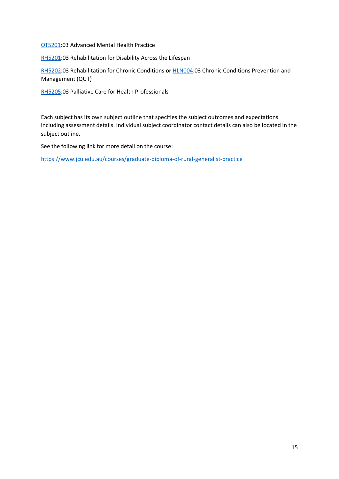[OT5201:](http://www.jcu.edu.au/app/studyfinder/?subject=OT5201)03 Advanced Mental Health Practice

[RH5201:](http://www.jcu.edu.au/app/studyfinder/?subject=RH5201)03 Rehabilitation for Disability Across the Lifespan

[RH5202:](http://www.jcu.edu.au/app/studyfinder/?subject=RH5202)03 Rehabilitation for Chronic Conditions **or** [HLN004:](https://www.qut.edu.au/study/unit?unitCode=HLN004)03 Chronic Conditions Prevention and Management (QUT)

[RH5205:](http://www.jcu.edu.au/app/studyfinder/?subject=RH5205)03 Palliative Care for Health Professionals

Each subject has its own subject outline that specifies the subject outcomes and expectations including assessment details. Individual subject coordinator contact details can also be located in the subject outline.

See the following link for more detail on the course:

<https://www.jcu.edu.au/courses/graduate-diploma-of-rural-generalist-practice>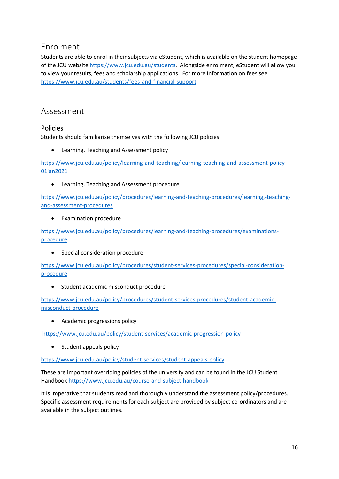# <span id="page-15-0"></span>Enrolment

Students are able to enrol in their subjects via eStudent, which is available on the student homepage of the JCU website [https://www.jcu.edu.au/students.](https://www.jcu.edu.au/students) Alongside enrolment, eStudent will allow you to view your results, fees and scholarship applications. For more information on fees see <https://www.jcu.edu.au/students/fees-and-financial-support>

# <span id="page-15-1"></span>Assessment

# <span id="page-15-2"></span>Policies

Students should familiarise themselves with the following JCU policies:

• Learning, Teaching and Assessment policy

[https://www.jcu.edu.au/policy/learning-and-teaching/learning-teaching-and-assessment-policy-](https://www.jcu.edu.au/policy/learning-and-teaching/learning-teaching-and-assessment-policy-01jan2021)[01jan2021](https://www.jcu.edu.au/policy/learning-and-teaching/learning-teaching-and-assessment-policy-01jan2021)

• Learning, Teaching and Assessment procedure

[https://www.jcu.edu.au/policy/procedures/learning-and-teaching-procedures/learning,-teaching](https://www.jcu.edu.au/policy/procedures/learning-and-teaching-procedures/learning,-teaching-and-assessment-procedures)[and-assessment-procedures](https://www.jcu.edu.au/policy/procedures/learning-and-teaching-procedures/learning,-teaching-and-assessment-procedures)

• Examination procedure

[https://www.jcu.edu.au/policy/procedures/learning-and-teaching-procedures/examinations](https://www.jcu.edu.au/policy/procedures/learning-and-teaching-procedures/examinations-procedure)[procedure](https://www.jcu.edu.au/policy/procedures/learning-and-teaching-procedures/examinations-procedure)

• Special consideration procedure

[https://www.jcu.edu.au/policy/procedures/student-services-procedures/special-consideration](https://www.jcu.edu.au/policy/procedures/student-services-procedures/special-consideration-procedure)[procedure](https://www.jcu.edu.au/policy/procedures/student-services-procedures/special-consideration-procedure)

• Student academic misconduct procedure

[https://www.jcu.edu.au/policy/procedures/student-services-procedures/student-academic](https://www.jcu.edu.au/policy/procedures/student-services-procedures/student-academic-misconduct-procedure)[misconduct-procedure](https://www.jcu.edu.au/policy/procedures/student-services-procedures/student-academic-misconduct-procedure)

• Academic progressions policy

<https://www.jcu.edu.au/policy/student-services/academic-progression-policy>

• Student appeals policy

<https://www.jcu.edu.au/policy/student-services/student-appeals-policy>

These are important overriding policies of the university and can be found in the JCU Student Handboo[k https://www.jcu.edu.au/course-and-subject-handbook](https://www.jcu.edu.au/course-and-subject-handbook)

It is imperative that students read and thoroughly understand the assessment policy/procedures. Specific assessment requirements for each subject are provided by subject co-ordinators and are available in the subject outlines.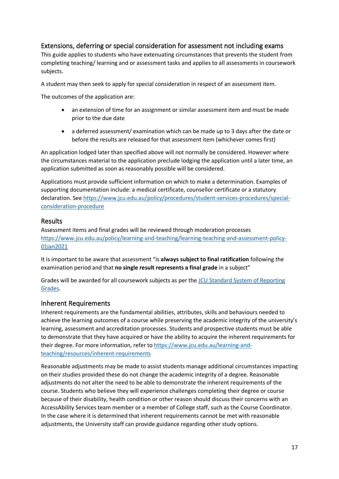### <span id="page-16-0"></span>Extensions, deferring or special consideration for assessment not including exams

This guide applies to students who have extenuating circumstances that prevents the student from completing teaching/ learning and or assessment tasks and applies to all assessments in coursework subjects.

A student may then seek to apply for special consideration in respect of an assessment item.

The outcomes of the application are:

- an extension of time for an assignment or similar assessment item and must be made prior to the due date
- a deferred assessment/ examination which can be made up to 3 days after the date or before the results are released for that assessment item (whichever comes first)

An application lodged later than specified above will not normally be considered. However where the circumstances material to the application preclude lodging the application until a later time, an application submitted as soon as reasonably possible will be considered.

Applications must provide sufficient information on which to make a determination. Examples of supporting documentation include: a medical certificate, counsellor certificate or a statutory declaration. Se[e https://www.jcu.edu.au/policy/procedures/student-services-procedures/special](https://www.jcu.edu.au/policy/procedures/student-services-procedures/special-consideration-procedure)[consideration-procedure](https://www.jcu.edu.au/policy/procedures/student-services-procedures/special-consideration-procedure)

#### <span id="page-16-1"></span>Results

Assessment items and final grades will be reviewed through moderation processes [https://www.jcu.edu.au/policy/learning-and-teaching/learning-teaching-and-assessment-policy-](https://www.jcu.edu.au/policy/learning-and-teaching/learning-teaching-and-assessment-policy-01jan2021)[01jan2021](https://www.jcu.edu.au/policy/learning-and-teaching/learning-teaching-and-assessment-policy-01jan2021)

It is important to be aware that assessment "is **always subject to final ratification** following the examination period and that **no single result represents a final grade** in a subject"

Grades will be awarded for all coursework subjects as per the [JCU Standard System of Reporting](https://www.jcu.edu.au/policy/student-services/standard-system-of-reporting-grades-policy)  [Grades.](https://www.jcu.edu.au/policy/student-services/standard-system-of-reporting-grades-policy)

### <span id="page-16-2"></span>Inherent Requirements

Inherent requirements are the fundamental abilities, attributes, skills and behaviours needed to achieve the learning outcomes of a course while preserving the academic integrity of the university's learning, assessment and accreditation processes. Students and prospective students must be able to demonstrate that they have acquired or have the ability to acquire the inherent requirements for their degree. For more information, refer t[o https://www.jcu.edu.au/learning-and](https://www.jcu.edu.au/learning-and-teaching/resources/inherent-requirements)[teaching/resources/inherent-requirements](https://www.jcu.edu.au/learning-and-teaching/resources/inherent-requirements)

Reasonable adjustments may be made to assist students manage additional circumstances impacting on their studies provided these do not change the academic integrity of a degree. Reasonable adjustments do not alter the need to be able to demonstrate the inherent requirements of the course. Students who believe they will experience challenges completing their degree or course because of their disability, health condition or other reason should discuss their concerns with an AccessAbility Services team member or a member of College staff, such as the Course Coordinator. In the case where it is determined that inherent requirements cannot be met with reasonable adjustments, the University staff can provide guidance regarding other study options.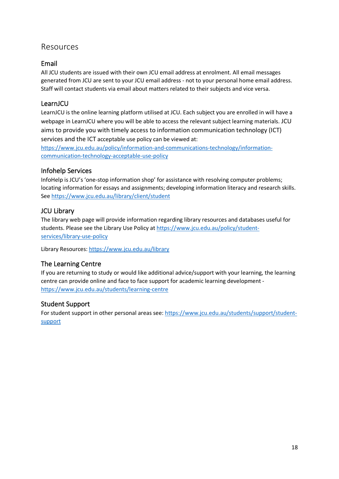# <span id="page-17-0"></span>Resources

# <span id="page-17-1"></span>Email

All JCU students are issued with their own JCU email address at enrolment. All email messages generated from JCU are sent to your JCU email address - not to your personal home email address. Staff will contact students via email about matters related to their subjects and vice versa.

# <span id="page-17-2"></span>LearnJCU

LearnJCU is the online learning platform utilised at JCU. Each subject you are enrolled in will have a webpage in LearnJCU where you will be able to access the relevant subject learning materials. JCU aims to provide you with timely access to information communication technology (ICT) services and the ICT acceptable use policy can be viewed at:

[https://www.jcu.edu.au/policy/information-and-communications-technology/information](https://www.jcu.edu.au/policy/information-and-communications-technology/information-communication-technology-acceptable-use-policy)[communication-technology-acceptable-use-policy](https://www.jcu.edu.au/policy/information-and-communications-technology/information-communication-technology-acceptable-use-policy)

# <span id="page-17-3"></span>Infohelp Services

InfoHelp is JCU's 'one-stop information shop' for assistance with resolving computer problems; locating information for essays and assignments; developing information literacy and research skills. See <https://www.jcu.edu.au/library/client/student>

# <span id="page-17-4"></span>JCU Library

The library web page will provide information regarding library resources and databases useful for students. Please see the Library Use Policy at [https://www.jcu.edu.au/policy/student](https://www.jcu.edu.au/policy/student-services/library-use-policy)[services/library-use-policy](https://www.jcu.edu.au/policy/student-services/library-use-policy) 

Library Resources:<https://www.jcu.edu.au/library>

# <span id="page-17-5"></span>The Learning Centre

If you are returning to study or would like additional advice/support with your learning, the learning centre can provide online and face to face support for academic learning development <https://www.jcu.edu.au/students/learning-centre>

# <span id="page-17-6"></span>Student Support

For student support in other personal areas see: [https://www.jcu.edu.au/students/support/student](https://www.jcu.edu.au/students/support/student-support)[support](https://www.jcu.edu.au/students/support/student-support)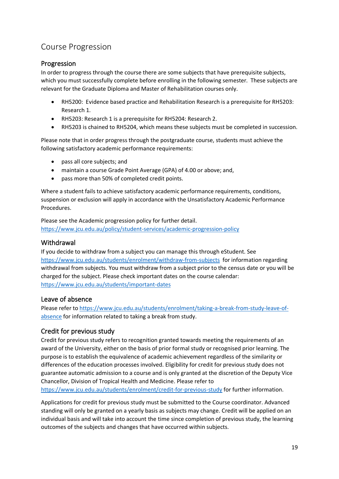# <span id="page-18-0"></span>Course Progression

### <span id="page-18-1"></span>Progression

In order to progress through the course there are some subjects that have prerequisite subjects, which you must successfully complete before enrolling in the following semester. These subjects are relevant for the Graduate Diploma and Master of Rehabilitation courses only.

- RH5200: Evidence based practice and Rehabilitation Research is a prerequisite for RH5203: Research 1.
- RH5203: Research 1 is a prerequisite for RH5204: Research 2.
- RH5203 is chained to RH5204, which means these subjects must be completed in succession.

Please note that in order progress through the postgraduate course, students must achieve the following satisfactory academic performance requirements:

- pass all core subjects; and
- maintain a course Grade Point Average (GPA) of 4.00 or above; and,
- pass more than 50% of completed credit points.

Where a student fails to achieve satisfactory academic performance requirements, conditions, suspension or exclusion will apply in accordance with the Unsatisfactory Academic Performance Procedures.

Please see the Academic progression policy for further detail. <https://www.jcu.edu.au/policy/student-services/academic-progression-policy>

### <span id="page-18-2"></span>Withdrawal

If you decide to withdraw from a subject you can manage this through eStudent. See <https://www.jcu.edu.au/students/enrolment/withdraw-from-subjects>for information regarding withdrawal from subjects. You must withdraw from a subject prior to the census date or you will be charged for the subject. Please check important dates on the course calendar: <https://www.jcu.edu.au/students/important-dates>

### <span id="page-18-3"></span>Leave of absence

Please refer t[o https://www.jcu.edu.au/students/enrolment/taking-a-break-from-study-leave-of](https://www.jcu.edu.au/students/enrolment/taking-a-break-from-study-leave-of-absence)[absence](https://www.jcu.edu.au/students/enrolment/taking-a-break-from-study-leave-of-absence) for information related to taking a break from study.

# <span id="page-18-4"></span>Credit for previous study

Credit for previous study refers to recognition granted towards meeting the requirements of an award of the University, either on the basis of prior formal study or recognised prior learning. The purpose is to establish the equivalence of academic achievement regardless of the similarity or differences of the education processes involved. Eligibility for credit for previous study does not guarantee automatic admission to a course and is only granted at the discretion of the Deputy Vice Chancellor, Division of Tropical Health and Medicine. Please refer to [https://www.jcu.edu.au/students/enrolment/credit-for-previous-study](https://www.jcu.edu.au/students/enrolment/credit-for-previous-study-advanced-standing) for further information.

Applications for credit for previous study must be submitted to the Course coordinator. Advanced standing will only be granted on a yearly basis as subjects may change. Credit will be applied on an individual basis and will take into account the time since completion of previous study, the learning outcomes of the subjects and changes that have occurred within subjects.